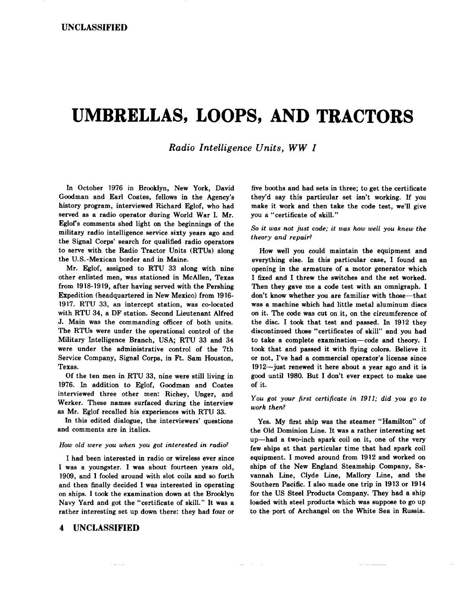# **UMBRELLAS, LOOPS, AND TRACTORS**

*Radio Intelligence Units, WW I* 

In October 1976 in Brooklyn, New York, David Goodman and Earl Coates, fellows in the Agency's history program, interviewed Richard Eglof, who had served as a radio operator during World War I. Mr. Eglofs comments shed light on the beginnings of the military radio intelligence service sixty years ago and the Signal Corps' search for qualified radio operators to serve with the Radio Tractor Units (RTUs) along the U.S.-Mexican border and in Maine.

Mr. Eglof, assigned to RTU 33 along with nine other enlisted men, was stationed in McAllen, Texas from 1918-1919, after having served with the Pershing Expedition (headquartered in New Mexico) from 1916- 1917. RTU 33, an intercept station, was co-located with RTU 34, a DF station. Second Lieutenant Alfred J. Main was the commanding officer of both units. The RTUs were under the operational control of the Military Intelligence Branch, USA; RTU 33 and 34 were under the administrative control of the 7th Service Company, Signal Corps, in Ft. Sam Houston, Texas.

Of the ten men in RTU 33, nine were still living in 1976. In addition to Eglof, Goodman and Coates interviewed three other men: Richey, Unger, and Werker. These names surfaced during the interview as Mr. Eglof recalled his experiences with RTU 33.

In this edited dialogue, the interviewers' questions and comments are in italics.

#### *How old were you when you got interested in radio?*

I had been interested in radio or wireless ever since I was a youngster. I was about fourteen years old, 1909, and I fooled around with slot coils and so forth and then finally decided I was interested in operating on ships. I took the examination down at the Brooklyn Nayy Yard and got the "certificate of skill." It was a rather interesting set up down there: they had four or

# 4 UNCLASSIFIED

five booths and had sets in three; to get the certificate they'd say this particular set isn't working. If you make it work and then take the code test, we'll give you a "certificate of skill."

*So it was not just code; it was how well you knew the theory and repair?* 

How well you could maintain the equipment and everything else. In this particular case, I found an opening in the armature of a motor generator which I fixed and I threw the switches and the set worked. Then they gave me a code test with an omnigraph. I don't know whether you are familiar with those-that was a machine which had little metal aluminum discs on it. The code was cut on it, on the circumference of the disc. I took that test and passed. In 1912 they discontinued those "certificates of skill" and you had to take a complete examination-code and theory. I took that and passed it with flying colors. Believe it or not, I've had a commercial operator's license since 1912-just renewed it here about a year ago and it is good until 1980. But I don't ever expect to make use of it.

# *You got your first certificate in 1911; did you go to work then?*

Yes. My first ship was the steamer "Hamilton" of the Old Dominion Line. It was a rather interesting set up-had a two-inch spark coil on it, one of the very few ships at that particular time that had spark coil equipment. I moved around from 1912 and worked on ships of the New England Steamship Company, Savannah Line, Clyde Line, Mallory Line, and the Southern Pacific. I also made one trip in 1913 or 1914 for the US Steel Products Company. They had a ship loaded with steel products which was suppose to go up to the port of Archangel on the White Sea in Russia.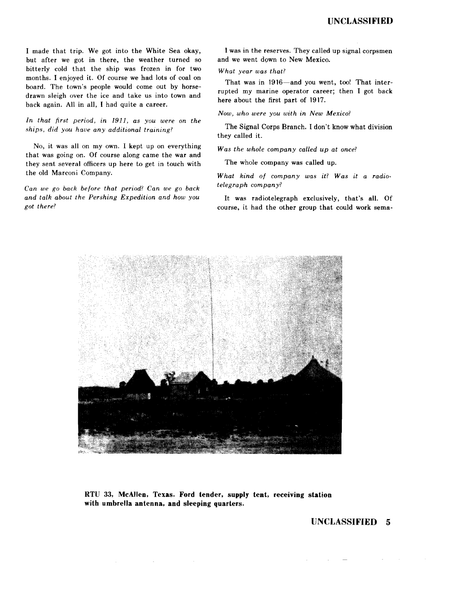I made that trip. We got into the White Sea okay, but after we got in there, the weather turned so bitterly cold that the ship was frozen in for two months. I enjoyed it. Of course we had lots of coal on board. The town's people would come out by horsedrawn sleigh over the ice and take us into town and back again. All in all, I had quite a career.

*In that first period, in 1911, as you were on the ships, did you have any additional training?* 

No, it was all on my own. I kept up on everything that was going on. Of course along came the war and they sent several officers up here to get in touch with the old Marconi Company.

*Can we go back before that period? Can we go back and talk about the Pershing Expedition and how you got there?* 

I was in the reserves. They called up signal corpsmen and we went down to New Mexico.

*What year was that?* 

That was in 1916-and you went, too! That interrupted my marine operator career; then I got back here about the first part of 1917.

*Now, who were you with in New Mexico?* 

The Signal Corps Branch. I don't know what division they called it.

*Was the whole company called up at once?* 

The whole company was called up.

*What kind of company was it? Was it a radiotelegraph company?* 

It was radiotelegraph exclusively, that's **all.** Of course, it had the other group that could work sema-



**RTU** 33, **McAllen, Texas. Ford tender, supply tent, receiving station with umbrella antenna, and sleeping quarters.** 

 $\sim 10$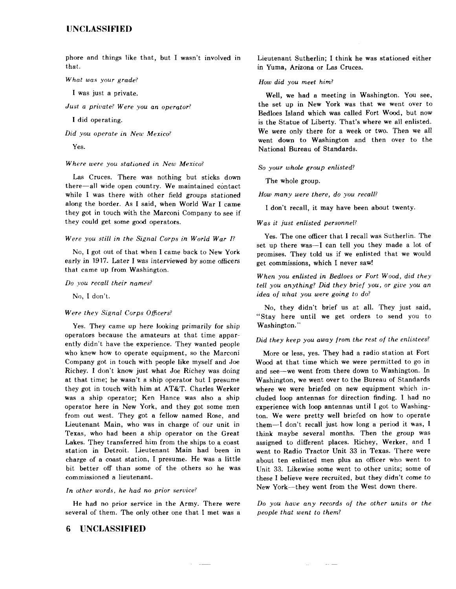phore and things like that, but I wasn't involved in that.

#### *What was your grade?*

I was just a private.

*Just a private? Were you an operator?* 

I did operating.

*Did you operate in New Mexico?* 

Yes.

*Where were you stationed in New Mexico?* 

Las Cruces. There was nothing but sticks down there-all wide open country. We maintained contact while I was there with other field groups stationed along the border. As I said, when World War I came they got in touch with the Marconi Company to see if they could get some good operators.

#### *Were you still in the Signal Corps in World War /?*

No, I got out of that when I came back to New York early in 1917. Later I was interviewed by some officers that came up from Washington.

#### *Do you recall their names?*

No, I don't.

#### *Were they Signal Corps Officers?*

Yes. They came up here looking primarily for ship operators because the amateurs at that time apparently didn't have the experience. They wanted people who knew how to operate equipment, so the Marconi Company got in touch with people like myself and Joe Richey. I don't know just what Joe Richey was doing at that time; he wasn't a ship operator but I presume they got in touch with him at AT&T. Charles Werker was a ship operator; Ken Hance was also a ship operator here in New York, and they got some men from out west. They got a fellow named Rose, and Lieutenant Main, who was in charge of our unit in Texas, who had been a ship operator on the Great Lakes. They transferred him from the ships to a coast station in Detroit. Lieutenant Main had been in charge of a coast station, I presume. He was a little bit better off than some of the others so he was commissioned a lieutenant.

#### *In other words, he had no prior service?*

He had no prior service in the Army. There were several of them. The only other one that I met was a

# **6 UNCLASSIFIED**

Lieutenant Sutherlin; I think he was stationed either in Yuma, Arizona or Las Cruces.

#### *How did you meet him?*

Well, we had a meeting in Washington. You see, the set up in New York was that we went over to Bedloes Island which was called Fort Wood, but now is the Statue of Liberty. That's where we all enlisted. We were only there for a week or two. Then we all went down to Washington and then over to the National Bureau of Standards.

#### *So your whole group enlisted?*

The whole group.

*How many were there, do you recall?* 

I don't recall, it may have been about twenty.

#### *Was it just enlisted personnel?*

Yes. The one officer that I recall was Sutherlin. The set up there was-I can tell you they made a lot of promises. They told us if we enlisted that we would get commissions, which I never saw!

*When you enlisted in Bedloes or Fort Wood, did they tell you anything? Did they brief you, or give you an idea of what you were going to* do?

No, they didn't brief us at all. They just said, "Stay here until we get orders to send you to Washington."

## *Did they keep you away from the rest of the enlistees?*

More or less, yes. They had a radio station at Fort Wood at that time which we were permitted to go in and see-we went from there down to Washington. In Washington, we went over to the Bureau of Standards where we were briefed on new equipment which included loop antennas for direction finding. I had no experience with loop antennas until I got to Washington. We were pretty well briefed on how to operate them-I don't recall just how long a period it was, I think maybe several months. Then the group was assigned to different places. Richey, Werker, and I went to Radio Tractor Unit 33 in Texas. There were about ten enlisted men plus an officer who went to Unit 33. Likewise some went to other units; some of these I believe were recruited, but they didn't come *to*  New York--they went from the West down there.

*Do you have any records of the other units or the people that went to them?* 

 $\sim 10$  km  $^{-1}$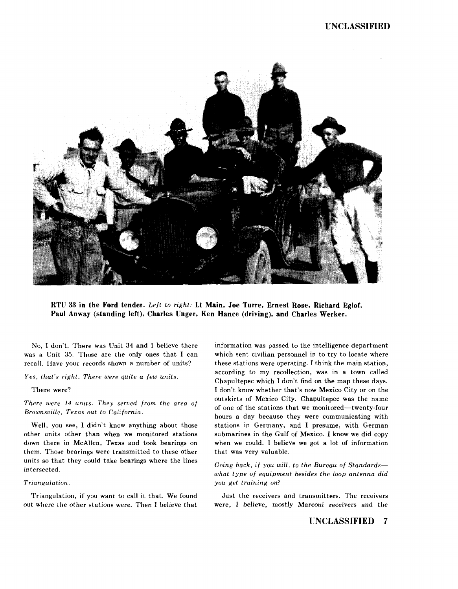

**RTU 33 in the Ford tender.** *Left to right:* **Lt Main, Joe Torre, Ernest Rose, Richard Eglor, Paul Anway (standing left), Charles Unger, Ken Hance (driving), and Charles Werker.** 

No, I don't. There was Unit 34 and I believe there was a Unit 35. Those are the only ones that I can recall. Have your records shown a number of units?

*Yes, that's right. There were quite a few units.* 

There were?

*There were 14 units. They served from the area of Brownsville, Texas out to California.* 

Well, you see, I didn't know anything about those other units other than when we monitored stations down there in McAllen, Texas and took bearings on them. Those bearings were transmitted to these other units so that they could take bearings where the lines intersected.

#### *Triangulation.*

Triangulation, if you want to call it that. We found out where the other stations were. Then I believe that

information was passed to the intelligence department which sent civilian personnel in to try to locate where these stations were operating. I think the main station, according to my recollection, was in a town called Chapultepec which I don't find on the map these days. I don't know whether that's now Mexico City or on the outskirts of Mexico City. Chapultepec was the name of one of the stations that we monitored-twenty-four hours a day because they were communicating with stations in Germany, and I presume, with German submarines in the Gulf of Mexico. I know we did copy when we could. I believe we got a lot of information that was very valuable.

*Going back, if you will, to the Bureau of Standardswhat type of equipment besides the loop antenna did you get training on?* 

Just the receivers and transmitters. The receivers were, I believe, mostly Marconi receivers and the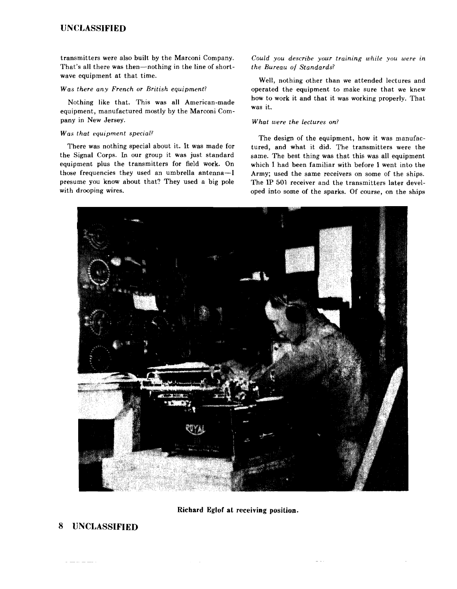# **UNCLASSIFIED**

transmitters were also built by the Marconi Company. That's all there was then-nothing in the line of shortwave equipment at that time.

## *Was there any French or British equipment?*

Nothing like that. This was all American-made equipment, manufactured mostly by the Marconi Company in New Jersey.

#### *Was that equipment special?*

There was nothing special about it. It was made for the Signal Corps. In our group it was just standard equipment plus the transmitters for field work. On those frequencies they used an umbrella antenna-I presume you know about that? They used a big pole with drooping wires.

*Could you describe your training while you were* in *the Bureau of Standards?* 

Well, nothing other than we attended lectures and operated the equipment to make sure that we knew how to work it and that it was working properly. That was it.

## *What were the Lectures on?*

The design of the equipment, how it was manufactured, and what it did. The transmitters were the same. The best thing was that this was all equipment which I had been familiar with before I went into the Army; used the same receivers on some of the ships. The IP 501 receiver and the transmitters later developed into some of the sparks. Of course, on the ships



# **Richard Eglof at receiving position.**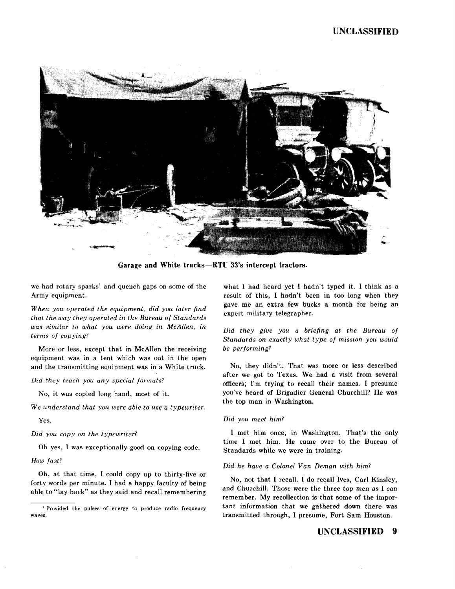

**Garage and White trucks-RTU** 33's **intercept tractors.** 

we had rotary sparks' and quench gaps on some of the Army equipment.

*When you operated the equipment, did you later find that the way they operated in the Bureau of Standards was similar tu what you were doing in McAllen, in terms of copying?* 

More or less, except that in McAllen the receiving equipment was in a tent which was out in the open and the transmitting equipment was in a White truck.

*Did they teach you any special formats?* 

No, it was copied long hand, most of it.

*We understand that you were able to use a typewriter.* 

Yes.

*Did you copy on the typewriter?* 

Oh yes, I was exceptionally good on copying code.

*How fast?* 

Oh, at that time, I could copy up to thirty-five or forty words per minute. I had a happy faculty of being able to "Jay back" as they said and recall remembering what I had heard yet I hadn't typed it. I think as a result of this, I hadn't been in too long when they gave me an extra few bucks a month for being an expert military telegrapher.

*Did they give you a briefing at the Bureau of Standards on exactly what type of mission you would be performing?* 

No, they didn't. That was more or Jess described after we got to Texas. We had a visit from several officers; I'm trying to recall their names. I presume you've heard of Brigadier General Churchill? He was the top man in Washington.

## *Did you meet him?*

I met him once, in Washington. That's the only time I met him. He came over to the Bureau of Standards while we were in training.

## *Did he have a Colonel Van Deman with him?*

No, not that I recall. I do recall Ives, Carl Kinsley, and Churchill. Those were the three top men as I can remember. My recollection is that some of the important information that we gathered down there was transmitted through, I presume, Fort Sam Houston.

<sup>&#</sup>x27; Provided the pulses of energy to produce radio frequency **waves.**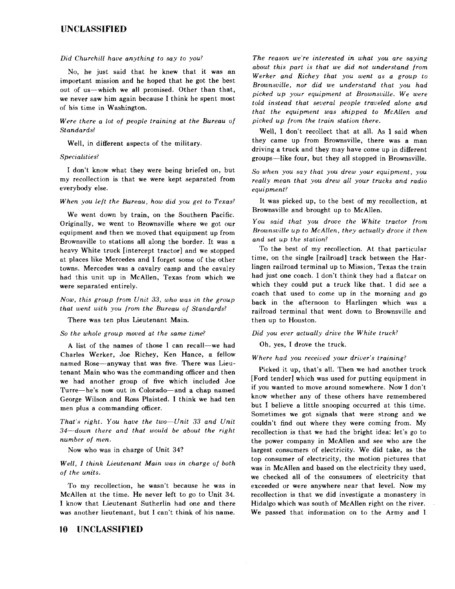# **UNCLASSIFIED**

#### *Did Churchill have anything to say to you?*

No, he just said that he knew that it was an important mission and he hoped that he got the best out of us-which we all promised. Other than that, we never saw him again because I think he spent most of his time in Washington.

## *Were there a lot of people training at the Bureau of Standards?*

Well, in different aspects of the military.

#### *Specialities?*

I don't know what they were being briefed on, but my recollection is that we were kept separated from everybody else.

#### *When you left the Bureau, how did you get to Texas?*

We went down by train, on the Southern Pacific. Originally, we went to Brownsville where we got our equipment and then we moved that equipment up from Brownsville to stations all along the border. It was a heavy White truck [intercept tractor] and we stopped at places like Mercedes and I forget some of the other towns. Mercedes was a cavalry camp and the cavalry had this unit up in McAllen, Texas from which we were separated entirely.

*Now, this group from Unit 33, who was in the group that went with you from the Bureau of Standards?* 

There was ten plus Lieutenant Main.

#### *So the whole group moued at the same time?*

A list of the names of those I can recall-we had Charles Werker, Joe Richey, Ken Hance, a fellow named Rose-anyway that was five. There was Lieutenant Main who was the commanding officer and then we had another group of five which included Joe Turre-he's now out in Colorado-and a chap named George Wilson and Ross Plaisted. I think we had ten men plus a commanding officer.

*That's right. You have the two-Unit 33 and Unit 34-down there and that would be about the right number of men.* 

Now who was in charge of Unit 34?

## *Well, I think Lieutenant Main was in charge of both of the units.*

To my recollection, he wasn't because he was in McAllen at the time. He never left to go to Unit 34. I know that Lieutenant Sutherlin had one and there was another lieutenant, but I can't think of his name.

# **10 UNCLASSIFIED**

*The reason we're interested in what you are saying about this part is that we did not understand from Werker and Richey that you went as a group to Brownsville, nor did we understand that you had picked up your equipment at Brownsville. We were told instead that several people traveled alone and that the equipment was shipped to McAllen and picked up from the train station there.* 

Well, I don't recollect that at all. As I said when they came up from Brownsville, there was a man driving a truck and they may have come up in different groups-like four, but they all stopped in Brownsville.

*So when you say that you drew your equipment, you really mean that you drew all your trucks and radio equipment?* 

It was picked up, to the best of my recollection, at Brownsville and brought up to McAllen.

You said that you drove the White tractor from *Brownsville up to McAllen, they actually drove it then and set up the station?* 

To the best of my recollection. At that particular time, on the single [railroad] track between the Harlingen railroad terminal up to Mission, Texas the train had just one coach. I don't think they had a flatcar on which they could put a truck like that. I did see a coach that used to come up in the morning and go back in the afternoon to Harlingen which was a railroad terminal that went down to Brownsville and then up to Houston.

## *Did you ever actually drive the White truck?*

Oh, yes, I drove the truck.

#### *Where had you received your driver's training?*

Picked it up, that's all. Then we had another truck [Ford tender] which was used for putting equipment in if you wanted to move around somewhere. Now I don't know whether any of these others have remembered but I believe a little snooping occurred at this time. Sometimes we got signals that were strong and we couldn't find out where they were coming from. My recollection is that we had the bright idea: let's go to the power company in McAllen and see who are the largest consumers of electricity. We did take, as the top consumer of electricity, the motion pictures that was in McAllen and based on the electricity they used, we checked all of the consumers of electricity that exceeded or were anywhere near that level. Now my recollection is that we did investigate a monastery in Hidalgo which was south of McAllen right on the river. We passed that information on to the Army and I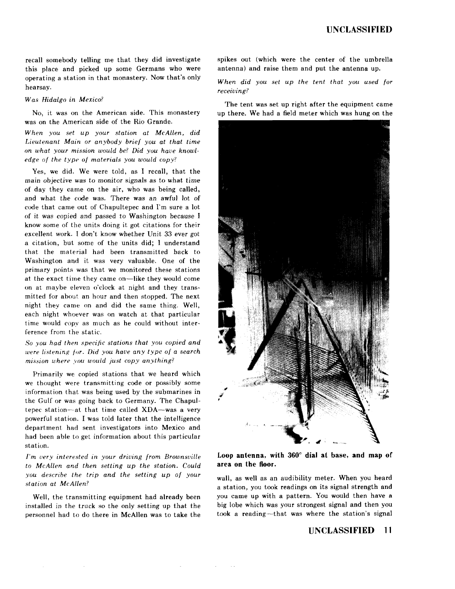recall somebody telling me that they did investigate this place and picked up some Germans who were operating a station in that monastery. Now that's only hearsay.

*Was Hidalgo in Mexico'* 

No, it was on the American side. This monastery was on the American side of the Rio Grande.

*When you set up your station at McAllen, did Lieutenant Main or anybody brief you at that time on what your mission would be? Did you have knowledge of the type of materials you would copy?* 

Yes, we did. We were told, as I recall, that the main objective was *to* monitor signals as to what time of day they came on the air, who was being called, and what the code was. There was an awful lot of code that came out of Chapultepec and I'm sure a lot of it was copied and passed to Washington because I know some of the units doing it got citations for their excellent work. I don't know whether Unit 33 ever got a citation, but some of the units did; I understand that the material had been transmitted back to Washington and it was very valuable. One of the primary points was that we monitored these stations at the exact time they came on-like they would come on at maybe eleven o'clock at night and they transmitted for about an hour and then stopped. The next night they came on and did the same thing. Well, each night whoever was on watch at that particular time would copy as much as he could without interference from the static.

*So you had then specific stations that you copied and were listening for. Did you have any type of a search mission where you would just copy anything?* 

Primarily we copied stations that we heard which we thought were transmitting code or possibly some information that was being used by the submarines in the Gulf or was going back to Germany. The Chapultepec station-at that time called XDA-was a very powerful station. I was told later that the intelligence department had sent investigators into Mexico and had been able to get information about this particular station.

*I'm very interested in your driving from Brownsville to McAllen and then setting up the station. Could you describe the trip and the setting up of your station at McAllen?* 

Well, the transmitting equipment had already been installed in the truck so the only setting up that the personnel had to do there in McAllen was to take the spikes out (which were the center of the umbrella antenna) and raise them and put the antenna up.

*When did you set up the tent that you used for receiving?* 

The tent was set up right after the equipment came up there. We had a field meter which was hung *on* the



Loop antenna, with 360° dial at base, and map of **area on the floor.** 

wall, as well as an audibility meter. When you heard a station, you took readings on its signal strength and you came up with a pattern. You would then have a big lobe which was your strongest signal and then you took a reading-that was where the station's signal

 $\sim$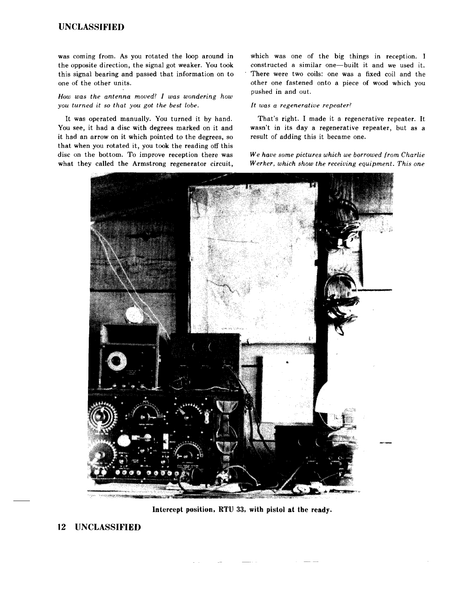# **UNCLASSIFIED**

was coming from. As you rotated the loop around in the opposite direction, the signal got weaker. You took this signal bearing and passed that information on to one of the other units.

*How was the antenna moued? I was wondering how you turned it* so *that you got the best lobe.* 

It was operated manually. You turned it by hand. You see, it had a disc with degrees marked on it and it had an arrow on it which pointed to the degrees, so that when you rotated it, you took the reading off this disc on the bottom. To improve reception there was what they called the Armstrong regenerator circuit, which was one of the big things in reception. I constructed a similar one-built it and we used it. There were two coils: one was a fixed coil and the other one fastened onto a piece of wood which you pushed in and out.

#### It *was a regenerative repeater?*

That's right. I made it a regenerative repeater. It wasn't in its day a regenerative repeater, but as a result of adding this it became one.

*We have some pictures which we borrowed from Charlie W erker, which show the receiving equipment. This one* 



**Intercept position, RTU** 33, **with pistol at the ready.**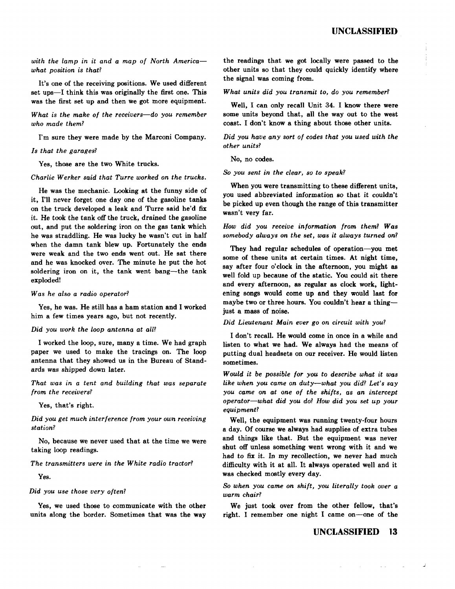with the lamp in it and a map of North America*what position is that?* 

It's one of the receiving positions. We used different set ups-I think this was originally the first one. This was the first set up and then we got more equipment.

*What is the make of the receivers-do you remember who made them?* 

I'm sure they were made by the Marconi Company.

#### *Is that the garages?*

Yes, those are the two White trucks.

#### *Charlie W erker said that Turre worked on the trucks.*

He was the mechanic. Looking at the funny side of it, I'll never forget one day one of the gasoline tanks on the truck developed a leak and Turre said he'd fix it. He took the tank off the truck, drained the gasoline out, and put the soldering iron on the gas tank which he was straddling. He was lucky he wasn't cut in half when the damn tank blew up. Fortunately the ends were weak and the two ends went out. He sat there and he was knocked over. The minute he put the hot soldering iron on it, the tank went bang—the tank exploded!

#### *Was he also a radio operator?*

Yes, he was. He still has a ham station and I worked him a few times years ago, but not recently.

#### *Did you work the loop antenna at all?*

I worked the loop, sure, many a time. We had graph paper we used to make the tracings on. The loop antenna that they showed us in the Bureau of Standards was shipped down later.

*That was in a tent and building that was separate from the receivers?* 

Yes, that's right.

*Did you get much interference from your own receiving station?* 

No, because we never used that at the time we were taking loop readings.

#### *The transmitters were in the White radio tractor?*

Yes.

#### *Did you use those very often?*

Yes, we used those to communicate with the other units along the border. Sometimes that was the way

the readings that we got locally were passed to the other units so that they could quickly identify where the signal was coming from.

#### *What units did you transmit to, do you remember?*

Well, I can only recall Unit 34. I know there were some units beyond that, all the way out to the west coast. I don't know a thing about those other units.

*Did you have any sort of codes that you used with the other units?* 

No, no codes.

#### *So you sent in the clear, so to speak?*

When you were transmitting to these different units, you used abbreviated information so that it couldn't be picked up even though the range of this transmitter wasn't very far.

*How did you receive information from them? Was somebody always on the set, was it always turned on?* 

They had regular schedules of operation-you met some of these units at certain times. At night time, say after four o'clock in the afternoon, you might as well fold up because of the static. You could sit there and every afternoon, as regular as clock work, lightening songs would come up and they would last for maybe two or three hours. You couldn't hear a thingjust a mass of noise.

#### *Did Lieutenant Main ever go on circuit with you?*

I don't recall. He would come in once in a while and listen to what we had. We always had the means of putting dual headsets on our receiver. He would listen sometimes.

*Would it be possible for you to describe what it was like when you came on duty-what you did? Let's say you came on at one of the shifts, as an intercept operator-what did you do? How did you set up your equipment?* 

Well, the equipment was running twenty-four hours a day. Of course we always had supplies of extra tubes and things like that. But the equipment was never shut off unless something went wrong with it and we had to fix it. In my recollection, we never had much difficulty with it at all. It always operated well and it was checked mostly every day.

# *So when you came on shift, you literally took over a warm chair?*

We just took over from the other fellow, that's right. I remember one night I came on-one of the